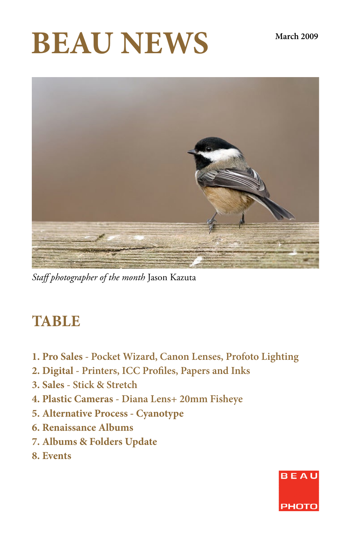# **BEAU NEWS** March 2009



*Staff photographer of the month* Jason Kazuta

## **TABLE**

- **1. Pro Sales Pocket Wizard, Canon Lenses, Profoto Lighting**
- **2. Digital Printers, ICC Profiles, Papers and Inks**
- **3. Sales Stick & Stretch**
- **4. Plastic Cameras Diana Lens+ 20mm Fisheye**
- **5. Alternative Process Cyanotype**
- **6. Renaissance Albums**
- **7. Albums & Folders Update**
- **8. Events**

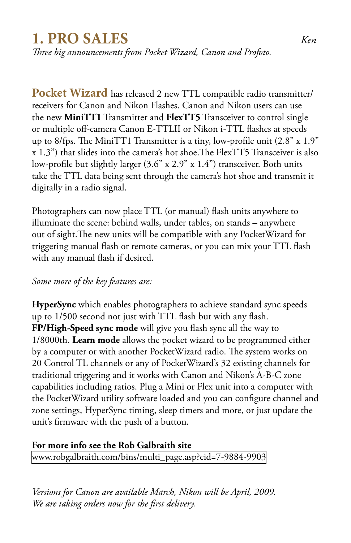## **1. PRO SALES** *Ken*

*Three big announcements from Pocket Wizard, Canon and Profoto.*

**Pocket Wizard** has released 2 new TTL compatible radio transmitter/ receivers for Canon and Nikon Flashes. Canon and Nikon users can use the new **MiniTT1** Transmitter and **FlexTT5** Transceiver to control single or multiple off-camera Canon E-TTLII or Nikon i-TTL flashes at speeds up to 8/fps. The MiniTT1 Transmitter is a tiny, low-profile unit (2.8" x 1.9" x 1.3") that slides into the camera's hot shoe.The FlexTT5 Transceiver is also low-profile but slightly larger  $(3.6'' \times 2.9'' \times 1.4'')$  transceiver. Both units take the TTL data being sent through the camera's hot shoe and transmit it digitally in a radio signal.

Photographers can now place TTL (or manual) flash units anywhere to illuminate the scene: behind walls, under tables, on stands – anywhere out of sight.The new units will be compatible with any PocketWizard for triggering manual flash or remote cameras, or you can mix your TTL flash with any manual flash if desired.

#### *Some more of the key features are:*

**HyperSync** which enables photographers to achieve standard sync speeds up to 1/500 second not just with TTL flash but with any flash. **FP/High-Speed sync mode** will give you flash sync all the way to 1/8000th. **Learn mode** allows the pocket wizard to be programmed either by a computer or with another PocketWizard radio. The system works on 20 Control TL channels or any of PocketWizard's 32 existing channels for traditional triggering and it works with Canon and Nikon's A-B-C zone capabilities including ratios. Plug a Mini or Flex unit into a computer with the PocketWizard utility software loaded and you can configure channel and zone settings, HyperSync timing, sleep timers and more, or just update the unit's firmware with the push of a button.

#### **For more info see the Rob Galbraith site**

[www.robgalbraith.com/bins/multi\\_page.asp?cid=7-9884-9903](http://www.robgalbraith.com/bins/multi_page.asp?cid=7-9884-9903)

*Versions for Canon are available March, Nikon will be April, 2009. We are taking orders now for the first delivery.*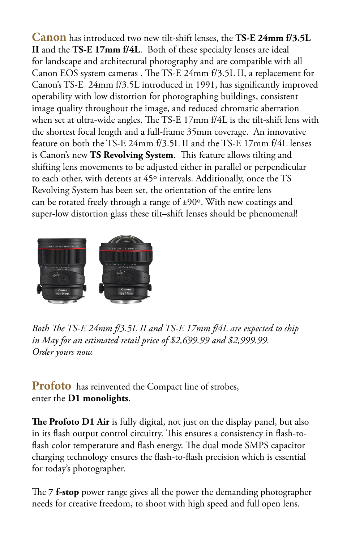**Canon** has introduced two new tilt-shift lenses, the **TS-E 24mm f/3.5L II** and the **TS-E 17mm f/4L**. Both of these specialty lenses are ideal for landscape and architectural photography and are compatible with all Canon EOS system cameras . The TS-E 24mm f/3.5L II, a replacement for Canon's TS-E 24mm f/3.5L introduced in 1991, has significantly improved operability with low distortion for photographing buildings, consistent image quality throughout the image, and reduced chromatic aberration when set at ultra-wide angles. The TS-E 17mm f/4L is the tilt-shift lens with the shortest focal length and a full-frame 35mm coverage. An innovative feature on both the TS-E 24mm f/3.5L II and the TS-E 17mm f/4L lenses is Canon's new **TS Revolving System**. This feature allows tilting and shifting lens movements to be adjusted either in parallel or perpendicular to each other, with detents at 45º intervals. Additionally, once the TS Revolving System has been set, the orientation of the entire lens can be rotated freely through a range of ±90º. With new coatings and super-low distortion glass these tilt–shift lenses should be phenomenal!



*Both The TS-E 24mm f/3.5L II and TS-E 17mm f/4L are expected to ship in May for an estimated retail price of \$2,699.99 and \$2,999.99. Order yours now.*

**Profoto** has reinvented the Compact line of strobes, enter the **D1 monolights**.

**The Profoto D1 Air** is fully digital, not just on the display panel, but also in its flash output control circuitry. This ensures a consistency in flash-toflash color temperature and flash energy. The dual mode SMPS capacitor charging technology ensures the flash-to-flash precision which is essential for today's photographer.

The **7 f-stop** power range gives all the power the demanding photographer needs for creative freedom, to shoot with high speed and full open lens.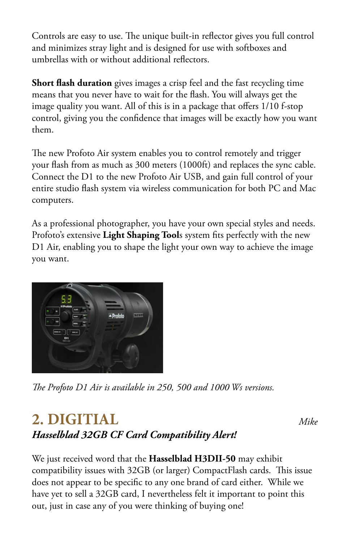Controls are easy to use. The unique built-in reflector gives you full control and minimizes stray light and is designed for use with softboxes and umbrellas with or without additional reflectors.

**Short flash duration** gives images a crisp feel and the fast recycling time means that you never have to wait for the flash. You will always get the image quality you want. All of this is in a package that offers 1/10 f-stop control, giving you the confidence that images will be exactly how you want them.

The new Profoto Air system enables you to control remotely and trigger your flash from as much as 300 meters (1000ft) and replaces the sync cable. Connect the D1 to the new Profoto Air USB, and gain full control of your entire studio flash system via wireless communication for both PC and Mac computers.

As a professional photographer, you have your own special styles and needs. Profoto's extensive **Light Shaping Tool**s system fits perfectly with the new D1 Air, enabling you to shape the light your own way to achieve the image you want.



*The Profoto D1 Air is available in 250, 500 and 1000 Ws versions.*

## *Hasselblad 32GB CF Card Compatibility Alert!* **2. DIGITIAL** *Mike*

We just received word that the **Hasselblad H3DII-50** may exhibit compatibility issues with 32GB (or larger) CompactFlash cards. This issue does not appear to be specific to any one brand of card either. While we have yet to sell a 32GB card, I nevertheless felt it important to point this out, just in case any of you were thinking of buying one!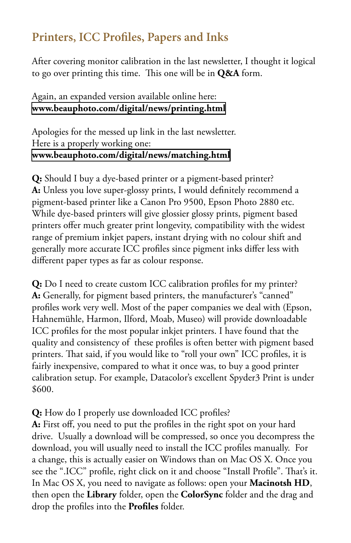### **Printers, ICC Profiles, Papers and Inks**

After covering monitor calibration in the last newsletter, I thought it logical to go over printing this time. This one will be in **Q&A** form.

#### Again, an expanded version available online here: **[www.beauphoto.com/digital/news/printing.html](http://www.beauphoto.com/digital/news/printing.html)**

Apologies for the messed up link in the last newsletter. Here is a properly working one: **[www.beauphoto.com/digital/news/matching.html](http://www.beauphoto.com/digital/news/matching.html)**

**Q:** Should I buy a dye-based printer or a pigment-based printer? **A:** Unless you love super-glossy prints, I would definitely recommend a pigment-based printer like a Canon Pro 9500, Epson Photo 2880 etc. While dye-based printers will give glossier glossy prints, pigment based printers offer much greater print longevity, compatibility with the widest range of premium inkjet papers, instant drying with no colour shift and generally more accurate ICC profiles since pigment inks differ less with different paper types as far as colour response.

**Q:** Do I need to create custom ICC calibration profiles for my printer? **A:** Generally, for pigment based printers, the manufacturer's "canned" profiles work very well. Most of the paper companies we deal with (Epson, Hahnemühle, Harmon, Ilford, Moab, Museo) will provide downloadable ICC profiles for the most popular inkjet printers. I have found that the quality and consistency of these profiles is often better with pigment based printers. That said, if you would like to "roll your own" ICC profiles, it is fairly inexpensive, compared to what it once was, to buy a good printer calibration setup. For example, Datacolor's excellent Spyder3 Print is under \$600.

#### **Q:** How do I properly use downloaded ICC profiles?

**A:** First off, you need to put the profiles in the right spot on your hard drive. Usually a download will be compressed, so once you decompress the download, you will usually need to install the ICC profiles manually. For a change, this is actually easier on Windows than on Mac OS X. Once you see the ".ICC" profile, right click on it and choose "Install Profile". That's it. In Mac OS X, you need to navigate as follows: open your **Macinotsh HD**, then open the **Library** folder, open the **ColorSync** folder and the drag and drop the profiles into the **Profiles** folder.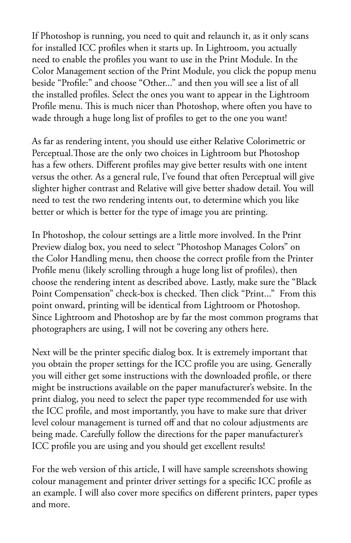If Photoshop is running, you need to quit and relaunch it, as it only scans for installed ICC profiles when it starts up. In Lightroom, you actually need to enable the profiles you want to use in the Print Module. In the Color Management section of the Print Module, you click the popup menu beside "Profile:" and choose "Other..." and then you will see a list of all the installed profiles. Select the ones you want to appear in the Lightroom Profile menu. This is much nicer than Photoshop, where often you have to wade through a huge long list of profiles to get to the one you want!

As far as rendering intent, you should use either Relative Colorimetric or Perceptual.Those are the only two choices in Lightroom but Photoshop has a few others. Different profiles may give better results with one intent versus the other. As a general rule, I've found that often Perceptual will give slighter higher contrast and Relative will give better shadow detail. You will need to test the two rendering intents out, to determine which you like better or which is better for the type of image you are printing.

In Photoshop, the colour settings are a little more involved. In the Print Preview dialog box, you need to select "Photoshop Manages Colors" on the Color Handling menu, then choose the correct profile from the Printer Profile menu (likely scrolling through a huge long list of profiles), then choose the rendering intent as described above. Lastly, make sure the "Black Point Compensation" check-box is checked. Then click "Print..." From this point onward, printing will be identical from Lightroom or Photoshop. Since Lightroom and Photoshop are by far the most common programs that photographers are using, I will not be covering any others here.

Next will be the printer specific dialog box. It is extremely important that you obtain the proper settings for the ICC profile you are using. Generally you will either get some instructions with the downloaded profile, or there might be instructions available on the paper manufacturer's website. In the print dialog, you need to select the paper type recommended for use with the ICC profile, and most importantly, you have to make sure that driver level colour management is turned off and that no colour adjustments are being made. Carefully follow the directions for the paper manufacturer's ICC profile you are using and you should get excellent results!

For the web version of this article, I will have sample screenshots showing colour management and printer driver settings for a specific ICC profile as an example. I will also cover more specifics on different printers, paper types and more.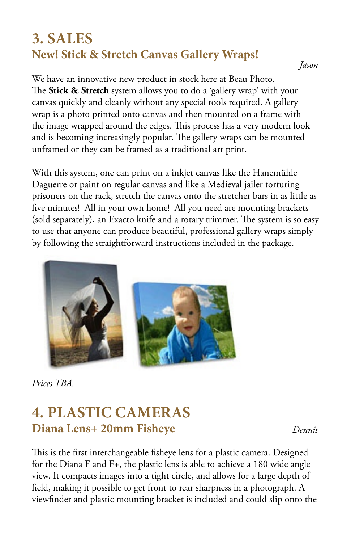## **3. SALES New! Stick & Stretch Canvas Gallery Wraps!**

*Jason*

We have an innovative new product in stock here at Beau Photo. The **Stick & Stretch** system allows you to do a 'gallery wrap' with your canvas quickly and cleanly without any special tools required. A gallery wrap is a photo printed onto canvas and then mounted on a frame with the image wrapped around the edges. This process has a very modern look and is becoming increasingly popular. The gallery wraps can be mounted unframed or they can be framed as a traditional art print.

With this system, one can print on a inkjet canvas like the Hanemühle Daguerre or paint on regular canvas and like a Medieval jailer torturing prisoners on the rack, stretch the canvas onto the stretcher bars in as little as five minutes! All in your own home! All you need are mounting brackets (sold separately), an Exacto knife and a rotary trimmer. The system is so easy to use that anyone can produce beautiful, professional gallery wraps simply by following the straightforward instructions included in the package.



*Prices TBA.*

## **4. PLASTIC CAMERAS Diana Lens+ 20mm Fisheye**

*Dennis*

This is the first interchangeable fisheye lens for a plastic camera. Designed for the Diana F and F+, the plastic lens is able to achieve a 180 wide angle view. It compacts images into a tight circle, and allows for a large depth of field, making it possible to get front to rear sharpness in a photograph. A viewfinder and plastic mounting bracket is included and could slip onto the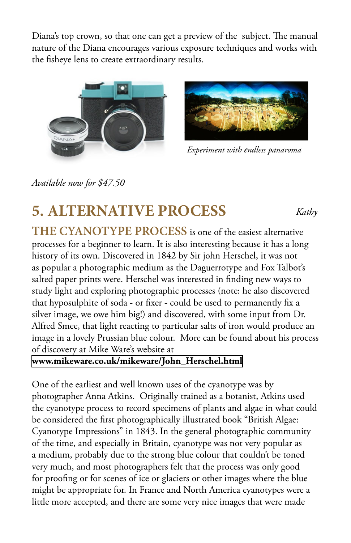Diana's top crown, so that one can get a preview of the subject. The manual nature of the Diana encourages various exposure techniques and works with the fisheye lens to create extraordinary results.





*Experiment with endless panaroma*

*Kathy*

*Available now for \$47.50*

## **5. ALTERNATIVE PROCESS**

**THE CYANOTYPE PROCESS** is one of the easiest alternative processes for a beginner to learn. It is also interesting because it has a long history of its own. Discovered in 1842 by Sir john Herschel, it was not as popular a photographic medium as the Daguerrotype and Fox Talbot's salted paper prints were. Herschel was interested in finding new ways to study light and exploring photographic processes (note: he also discovered that hyposulphite of soda - or fixer - could be used to permanently fix a silver image, we owe him big!) and discovered, with some input from Dr. Alfred Smee, that light reacting to particular salts of iron would produce an image in a lovely Prussian blue colour. More can be found about his process of discovery at Mike Ware's website at

**[www.mikeware.co.uk/mikeware/John\\_Herschel.html](http://www.mikeware.co.uk/mikeware/John_Herschel.html)**

One of the earliest and well known uses of the cyanotype was by photographer Anna Atkins. Originally trained as a botanist, Atkins used the cyanotype process to record specimens of plants and algae in what could be considered the first photographically illustrated book "British Algae: Cyanotype Impressions" in 1843. In the general photographic community of the time, and especially in Britain, cyanotype was not very popular as a medium, probably due to the strong blue colour that couldn't be toned very much, and most photographers felt that the process was only good for proofing or for scenes of ice or glaciers or other images where the blue might be appropriate for. In France and North America cyanotypes were a little more accepted, and there are some very nice images that were made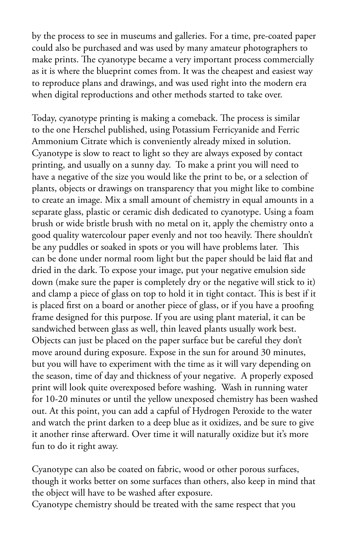by the process to see in museums and galleries. For a time, pre-coated paper could also be purchased and was used by many amateur photographers to make prints. The cyanotype became a very important process commercially as it is where the blueprint comes from. It was the cheapest and easiest way to reproduce plans and drawings, and was used right into the modern era when digital reproductions and other methods started to take over.

Today, cyanotype printing is making a comeback. The process is similar to the one Herschel published, using Potassium Ferricyanide and Ferric Ammonium Citrate which is conveniently already mixed in solution. Cyanotype is slow to react to light so they are always exposed by contact printing, and usually on a sunny day. To make a print you will need to have a negative of the size you would like the print to be, or a selection of plants, objects or drawings on transparency that you might like to combine to create an image. Mix a small amount of chemistry in equal amounts in a separate glass, plastic or ceramic dish dedicated to cyanotype. Using a foam brush or wide bristle brush with no metal on it, apply the chemistry onto a good quality watercolour paper evenly and not too heavily. There shouldn't be any puddles or soaked in spots or you will have problems later. This can be done under normal room light but the paper should be laid flat and dried in the dark. To expose your image, put your negative emulsion side down (make sure the paper is completely dry or the negative will stick to it) and clamp a piece of glass on top to hold it in tight contact. This is best if it is placed first on a board or another piece of glass, or if you have a proofing frame designed for this purpose. If you are using plant material, it can be sandwiched between glass as well, thin leaved plants usually work best. Objects can just be placed on the paper surface but be careful they don't move around during exposure. Expose in the sun for around 30 minutes, but you will have to experiment with the time as it will vary depending on the season, time of day and thickness of your negative. A properly exposed print will look quite overexposed before washing. Wash in running water for 10-20 minutes or until the yellow unexposed chemistry has been washed out. At this point, you can add a capful of Hydrogen Peroxide to the water and watch the print darken to a deep blue as it oxidizes, and be sure to give it another rinse afterward. Over time it will naturally oxidize but it's more fun to do it right away.

Cyanotype can also be coated on fabric, wood or other porous surfaces, though it works better on some surfaces than others, also keep in mind that the object will have to be washed after exposure.

Cyanotype chemistry should be treated with the same respect that you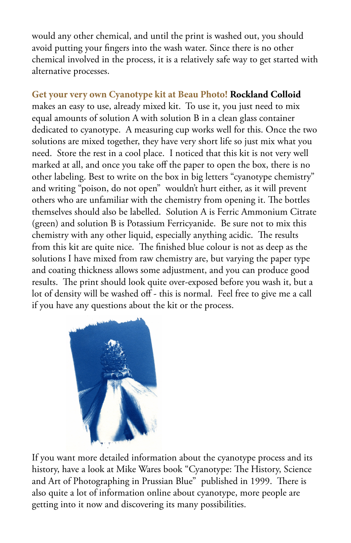would any other chemical, and until the print is washed out, you should avoid putting your fingers into the wash water. Since there is no other chemical involved in the process, it is a relatively safe way to get started with alternative processes.

#### **Get your very own Cyanotype kit at Beau Photo! Rockland Colloid**

makes an easy to use, already mixed kit. To use it, you just need to mix equal amounts of solution A with solution B in a clean glass container dedicated to cyanotype. A measuring cup works well for this. Once the two solutions are mixed together, they have very short life so just mix what you need. Store the rest in a cool place. I noticed that this kit is not very well marked at all, and once you take off the paper to open the box, there is no other labeling. Best to write on the box in big letters "cyanotype chemistry" and writing "poison, do not open" wouldn't hurt either, as it will prevent others who are unfamiliar with the chemistry from opening it. The bottles themselves should also be labelled. Solution A is Ferric Ammonium Citrate (green) and solution B is Potassium Ferricyanide. Be sure not to mix this chemistry with any other liquid, especially anything acidic. The results from this kit are quite nice. The finished blue colour is not as deep as the solutions I have mixed from raw chemistry are, but varying the paper type and coating thickness allows some adjustment, and you can produce good results. The print should look quite over-exposed before you wash it, but a lot of density will be washed off - this is normal. Feel free to give me a call if you have any questions about the kit or the process.



If you want more detailed information about the cyanotype process and its history, have a look at Mike Wares book "Cyanotype: The History, Science and Art of Photographing in Prussian Blue" published in 1999. There is also quite a lot of information online about cyanotype, more people are getting into it now and discovering its many possibilities.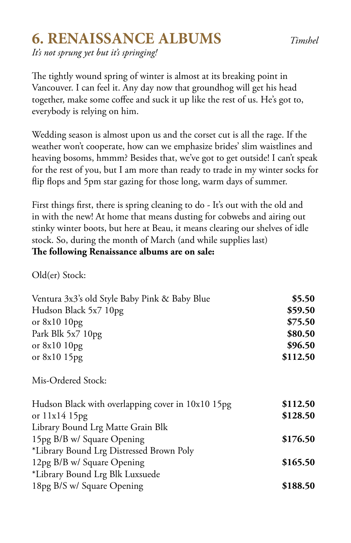## **6. RENAISSANCE ALBUMS** *Timshel*

*It's not sprung yet but it's springing!* 

The tightly wound spring of winter is almost at its breaking point in Vancouver. I can feel it. Any day now that groundhog will get his head together, make some coffee and suck it up like the rest of us. He's got to, everybody is relying on him.

Wedding season is almost upon us and the corset cut is all the rage. If the weather won't cooperate, how can we emphasize brides' slim waistlines and heaving bosoms, hmmm? Besides that, we've got to get outside! I can't speak for the rest of you, but I am more than ready to trade in my winter socks for flip flops and 5pm star gazing for those long, warm days of summer.

First things first, there is spring cleaning to do - It's out with the old and in with the new! At home that means dusting for cobwebs and airing out stinky winter boots, but here at Beau, it means clearing our shelves of idle stock. So, during the month of March (and while supplies last) **The following Renaissance albums are on sale:**

Old(er) Stock:

| Ventura 3x3's old Style Baby Pink & Baby Blue     | \$5.50   |
|---------------------------------------------------|----------|
| Hudson Black 5x7 10pg                             | \$59.50  |
| or $8x1010pg$                                     | \$75.50  |
| Park Blk 5x7 10pg                                 | \$80.50  |
| or $8x1010pg$                                     | \$96.50  |
| or $8x1015pg$                                     | \$112.50 |
| Mis-Ordered Stock:                                |          |
| Hudson Black with overlapping cover in 10x10 15pg | \$112.50 |
| or $11x14$ 15pg                                   | \$128.50 |
| Library Bound Lrg Matte Grain Blk                 |          |
| 15pg B/B w/ Square Opening                        | \$176.50 |
| *Library Bound Lrg Distressed Brown Poly          |          |
| 12pg B/B w/ Square Opening                        | \$165.50 |
| *Library Bound Lrg Blk Luxsuede                   |          |
| 18pg B/S w/ Square Opening                        | \$188.50 |
|                                                   |          |